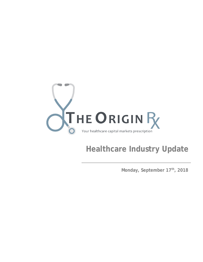

# **Healthcare Industry Update**

**Monday, September 17th, 2018**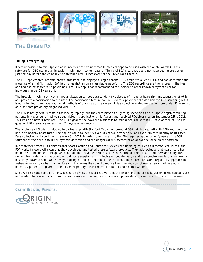

# **THE ORIGIN RX**

#### **Timing is everything**

It was impossible to miss Apple's announcement of two new mobile medical apps to be used with the Apple Watch 4 – ECG software for OTC use and an irregular rhythm notification feature. Timing of FDA clearance could not have been more perfect, just the day before the company's September 12th launch event at the Steve Jobs Theatre.

**\_\_\_\_\_\_\_\_\_\_\_\_\_\_\_\_\_\_\_\_\_\_\_\_\_\_\_\_\_\_\_\_\_\_\_\_\_\_\_\_\_\_\_\_\_\_\_\_\_\_\_\_\_\_\_\_\_\_\_\_\_\_\_\_\_\_\_\_\_\_\_\_\_\_\_\_\_\_\_\_\_\_\_\_\_\_\_\_\_\_**

The ECG app creates, records, stores, transfers, and displays a single channel ECG similar to a Lead I ECG and can determine the presence of atrial fibrillation (AFib) or sinus rhythm on a classifiable waveform. The ECG recordings are then stored in the Health app and can be shared with physicians. The ECG app is not recommended for users with other known arrhythmias or for individuals under 22 years old.

The irregular rhythm notification app analyzes pulse rate data to identify episodes of irregular heart rhythms suggestive of AFib and provides a notification to the user. The notification feature can be used to supplement the decision for AFib screening but it is not intended to replace traditional methods of diagnosis or treatment. It is also not intended for use in those under 22 years old or in patients previously diagnosed with AFib.

The FDA is not generally famous for moving rapidly, but they sure moved at lightning speed on this file. Apple began recruiting patients in November of last year, submitted its applications mid-August and received FDA clearance on September 11th, 2018. This was a de novo submission – the FDA's goal for de novo submissions is to issue a decision within 150 days of receipt – so I'm guessing FDA clearance in less than 30 days is a new record.

The Apple Heart Study, conducted in partnership with Stanford Medicine, looked at 588 individuals, half with AFib and the other half with healthy heart rates. The app was able to identify over 98% of subjects with AF and over 99% with healthy heart rates. Data collection will continue to January 31, 2019. In order to mitigate risk, the FDA requires Apple to notify users of its ECG software of the risks in faulty arrhythmia detection and the dangers of misinterpretation or over-reliance on the software.

In a statement from FDA Commissioner Scott Gottlieb and Center for Devices and Radiological Health Director Jeff Shuren, the FDA worked closely with Apple as they developed and tested these software products. They acknowledge that health care has been slow to implement disruptive tech tools that have been successfully transforming other areas of business and daily life, ranging from ride-hailing apps and virtual home assistants to fin tech and food delivery – and the complex regulatory framework has likely played a part. While always putting patient protection at the forefront, they intend to take a regulatory approach that fosters innovation, rather than inhibits it. This means they plan to reduce the time and cost of market entry, while assuring necessary patient safeguards are in place. Hopefully this is the mantra for all and not just Apple.

Since we're on the topic of timing, it's hard to miss the fact that we're in the final month before legalization of rec cannabis use in Canada. There is a flurry of discussions, plans and rumours, and stocks are up. We should have more on that in two weeks…

**\_\_\_\_\_\_\_\_\_\_\_\_\_\_\_\_\_\_\_\_\_\_\_\_\_\_\_\_\_\_\_\_\_\_\_\_\_\_\_\_\_\_\_\_\_\_\_\_\_\_\_\_\_\_\_\_\_\_\_\_\_\_\_\_\_\_\_\_\_\_\_\_\_\_\_\_\_\_\_\_\_\_\_\_\_\_\_\_\_\_**

**CATHY STEINER, PRINCIPAL** 



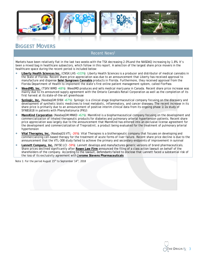

### **BIGGEST MOVERS**

#### Recent News1

Markets have been relatively flat in the last two weeks with the TSX decreasing 2.0% and the NASDAQ increasing by 1.8%. It's been a mixed bag in healthcare subsectors, which follow in this report. A selection of the largest share price movers in the healthcare space during the recent period is included below:

- **Liberty Health Sciences Inc.** (CNSX:LHS +103%): Liberty Health Sciences is a producer and distributor of medical cannabis in the State of Florida. Recent share price appreciation was due to an announcement that Liberty has received approval to manufacture and dispense **Solei Sungrown Cannabis** products in Florida. Furthermore, they received approval from the Florida Department of Health to implement the state's first online patient management system, called FlorPass
- **WeedMD, Inc.** (TSXV:WMD +68%): WeedMD produces and sells medical marijuana in Canada. Recent share price increase was mainly due to its announced supply agreement with the Ontario Cannabis Retail Corporation as well as the completion of its first harvest at its state-of-the-art greenhouse
- Synlogic, Inc. (NasdaqGM:SYBX +67%): Synlogic is a clinical-stage biopharmaceutical company focusing on the discovery and development of synthetic biotic medicines to treat metabolic, inflammatory, and cancer diseases. The recent increase in its share price is primarily due to an announcement of positive interim clinical data from its ongoing phase 1/2a study of SYNB1618 in patients with Phenylketonuria (PKU)
- **MannKind Corporation** (NasdaqGM:MNKD +62%): MannKind is a biopharmaceutical company focusing on the development and commercialization of inhaled therapeutic products for diabetes and pulmonary arterial hypertension patients. Recent share price appreciation was largely due to the announcement that MannKind has entered into an exclusive license agreement for the development and commercialization of Treprostinil, a product being evaluated for the treatment of pulmonary arterial hypertension
- **Vital Therapies, Inc.** (NasdaqGS:VTL -26%): Vital Therapies is a biotherapeutic company that focuses on developing and commercializing cell-based therapy for the treatment of acute forms of liver failure. Recent share price decline is due to the announcement that the VTL-308 study failed to achieve the primary and secondary endpoints of improvement in survival
- **Lannett Company, Inc.** (NYSE:LCI -59%): Lannett develops and manufactures generic versions of brand pharmaceuticals. Share prices declined significantly after **Rosen Law Firm** announced the filing of a class action lawsuit on behalf of the shareholders of the company. According to the lawsuit, defendants failed to disclose that Lannett faced a substantial risk of the loss of its exclusivity agreement with **Jerome Stevens Pharmaceuticals**

. *Note 1: For the period August 15th to September 14th, 2018*

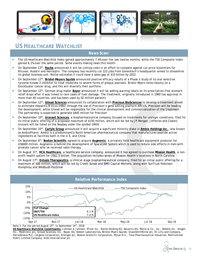

### **US HEALTHCARE WATCHLIST**

#### **News Scan**<sup>1</sup>

- The US Healthcare Watchlist Index gained approximately 7.4% over the last twelve months, while the TSX Composite Index gained 6.1% over the same period. Some events making news this month:
- On September 13th, **Roche** announced it will be cutting costs in an effort to compete against cut-price biosimilars for Rituxan, Avastin and Herceptin. The company has recently cut 223 jobs from Genentech's headquarter aimed to streamline its global business unit. Roche estimates it could have a sales gap of \$10 billion by 2022
- On September 12th, **Bristol-Meyers Squibb** announced positive efficacy results of a Phase II study of its oral selective tyrosine-kinase-2 inhibitor to treat moderate to severe forms of plaque psoriasis. Bristol-Myers relies heavily on a blockbuster cancer drug, and this will diversify their portfolio
- On September 12th, German drug maker **Bayer** announced it will be adding warning labels on its prescription-free stomach relief drops after it was linked to rare cases of liver damage. The treatment, originally introduced in 1960 has approval in more than 40 countries, and has been used by 82 million patients
- On September 12th, **Gilead Sciences** announced its collaboration with **Precious BioSciences** to develop a treatment aimed to eliminate Hepatitis B Virus (HBV) through the use of Precision's gene editing platform ARCUS. Precision will be leading the development, while Gilead will be responsible for the clinical development and commercialization of the treatment. The partnership is expected to generate \$445 million for Precision
- On September 10th, **Urovant Sciences**, a biopharmaceutical company focused on treatments for urologic conditions, filed for its initial public offering of a proposed maximum of \$150 million, which will be led by JP Morgan, Jefferies and Cowen. Urovant will be listed on the Nasdaq under the symbol UROV
- On September 10th, **Carlyle Group** announced it will acquire a significant minority stake in **Ambio Holdings Inc.**, also known as AmbioPharm. Ambio is a predominantly North American pharmaceutical company that manufactures peptide active ingredients at facilities both in the U.S. and China
- On September 6th, **Boston Scientific** agreed to acquire **Augmenix**, a privately held healthcare equipment producer for US\$600 million. Augmenix is behind the development of SpaceOAR System which is used to reduce side effects in men with prostate cancer who've received radio therapy
- On August 31<sup>st</sup>, HCA Healthcare, a healthcare service company, announced it has agreed to purchase Mission Health, a nonprofit health system for US\$1.5 billion. The acquisition includes seven of Mission Health's locations in North Carolina
- On August 17th, **Entasis Therapeutics**, a clinical-stage biopharmaceutical company, filed for an initial public offering for a maximum of \$86 million, which will be led by Credit Suisse and BMO Capital Markets, along with SunTrust Robinson Humphrey and Wedbush PacGrow



*Note 1: For the period August 15th to September 14th, 2018*

*US Healthcare Watchlist Constituents: Johnson & Johnson, Pfizer Inc., Roche Holding AG, Novartis AG, Merck & Co., Inc., AbbVie Inc., Amgen Inc., Medtronic plc, Gilead Sciences, Inc., Bayer AG, Abbott Laboratories, Bristol-Myers Squibb, GlaxoSmithKline plc, Eli Lilly and Company, AstraZeneca PLC, Celgene Corporation, Allergan plc, Boston Scientific Corporation, Mylan N.V., Teva Pharmaceutical Industries, Mallinckrodt Public Limited Company, Endo International plc*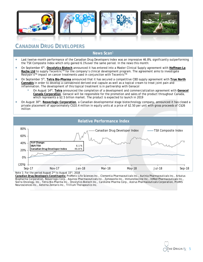

### **CANADIAN DRUG DEVELOPERS**

#### **News Scan**<sup>1</sup>

- Last twelve-month performance of the Canadian Drug Developers Index was an impressive 46.8%, significantly outperforming the TSX Composite Index which only gained 6.1% over the same period. In the news this month:
- On September 6th, **Oncolytics Biotech** announced it has entered into a Master Clinical Supply agreement with **Hoffman-La**  Roche Ltd to supply Tecentric<sup>™</sup> for the company's clinical development program. The agreement aims to investigate Reolysin's™ impact on cancer treatments used in conjunction with Tecentric™
- On September 5th, **Tetra Bio-Pharma** announced that it has secured a competitive CBD supply agreement with **True North Cannabis** in order to develop a cannabinoid derived oral capsule as well as a topical cream to treat joint pain and inflammation. The development of this topical treatment is in partnership with Genacol
	- On August 14th, **Tetra** announced the completion of a development and commercialization agreement with **Genacol Canada Corporation**. Genacol will be responsible for the promotion and sales of the product throughout Canada, which represents a \$2.5 billion market. The product is expected to launch in 2019
- On August 30th, **Resverlogix Corporation**, a Canadian developmental stage biotechnology company, announced it has closed a private placement of approximately C\$10.4 million in equity units at a price of \$2.50 per unit with gross proceeds of C\$26 million



*Note 1: For the period August 2nd to August 15th, 2018*

*Canadian Drug Developers Constituents: ProMetic Life Sciences Inc., Clementia Pharmaceuticals Inc., Aurinia Pharmaceuticals Inc., Arbutus Biopharma Corporation, Resverlogix Corp., Aquinox Pharmaceuticals Inc., Zymeworks Inc., ImmunoVaccine Inc., InMed Pharmaceuticals Inc., Sierra Oncology, Inc., Tetra Bio-Pharma Inc., Oncolytics Biotech Inc., Cardiome Pharma Corp., Acerus Pharmaceuticals Corporation, ProMIS Neurosciences Inc., Aeterna Zentaris Inc., Trillium Therapeutics Inc.*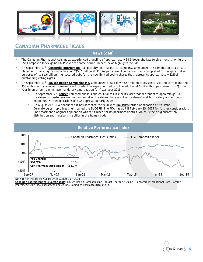

### **CANADIAN PHARMACEUTICALS**

#### **News Scan**<sup>1</sup>

- The Canadian Pharmaceuticals Index experienced a decline of approximately 14.9% over the last twelve months, while the TSX Composite Index gained 6.1% over the same period. Recent news highlights include:
- On September 11th, **Concordia International**, a specialty pharmaceutical company, announced the completion of a private placement financing, raising a total of C\$587 million at \$13.69 per share. The transaction is completed for recapitalization purposes of its \$1.6 billion in unsecured debt for the new limited voting shares that represents approximately 12% of outstanding voting rights
- On September 11th, **Bausch Health Companies Inc.** announced it paid down \$57 million of its senior secured term loans and \$50 million of its revolver borrowings with cash. This repayment adds to the additional \$132 million pay down from Q3 this year in an effort to eliminate mandatory amortization for fiscal year 2018
	- On September 5th, **Bausch** released phase 3 clinical trial results for its loteprednol etabonate ophalmic gel, a treatment of postoperative pain and inflation treatment for eyes. The treatment met both safety and efficacy endpoints, with expectations of FDA approval in early 2019
	- On August 29th, FDA announced it has accepted the review of **Bausch's** refiled application of its Ortho Dermatologics' topic treatment called the DUOBRII. The FDA has up till February 15, 2019 for further consideration. The treatment's original application was scrutinized for its pharmacokinetics, which is the drug absorption, distribution and metabolism ability in the human body



*Canadian Pharmaceuticals Constituents: Bausch Health Companies Inc., Knight Therapeutics Inc., Concordia International Corp., Aralez Pharmaceuticals Inc., Theratechnologies Inc., Zomedica Pharmaceuticals Corp.*

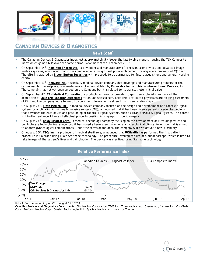

### **CANADIAN DEVICES & DIAGNOSTICS**

#### **News Scan**<sup>1</sup>

- The Canadian Devices & Diagnostics Index lost approximately 5.4% over the last twelve months, lagging the TSX Composite Index which gained 6.1% over the same period. Newsmakers for September 2018:
- On September 14th, **Hamilton Thorne Ltd.**, a developer and manufacturer of precision laser devices and advanced image analysis systems, announced that it has completed of a bought deal private placement for aggregate proceeds of C\$10mm. The offering was led by **Bloom Burton Securities** with proceeds to be earmarked for future acquisitions and general working capital
- On September 11<sup>th</sup>, **Neovasc Inc.**, a specialty medical device company that develops and manufactures products for the cardiovascular marketplace, was made aware of a lawsuit filed by **Endovalve Inc.** and **Micro Interventional Devices, Inc.** The complaint has not yet been served on the Company but it is related to its transcatheter mitral valve
- On September 4th, **CRH Medical Corporation**, a products and service provider to gastroenterologists, announced the acquisition of **Lake Erie Sedation Associates** for an undisclosed sum. Lake Erie's affiliated physicians are existing customers of CRH and the company looks forward to continue to leverage the strength of those relationships
- On August 28th, **Titan Medical Inc.**, a medical device company focused on the design and development of a robotic surgical system for application in minimally invasive surgery (MIS), announced that it has been given a patent covering technology that advances the ease of use and positioning of robotic surgical systems, such as Titan's SPORT Surgical System. The patent will further enhance Titan's intellectual property position in single-port robotic surgery
- On August 23rd, **Relay Medical Corp.**, a medical technology company focusing on the development of Vitro diagnostics and point-of-care technologies, announced it has signed a term sheet to acquire a gynecological clinical invention that is aimed to address gynecological complications. Under the terms of the deal, the company will own 85% of a new subsidiary
- On August 20th, **TSO3 Inc.**, a producer of medical sterilizers, announced that **UCHealth** has performed the first patient procedure in Colorado using TSO's Sterizone technology. The procedure involved the use of a duodenoscope, which is used to take images of the patient's liver and gall bladder. The device was sterilized using Sterizone technology



*Note 1: For the period August 2nd to August 15th, 2018*

*Canadian Devices and Diagnostics Constituents: CRH Medical Corporation, TSO3 Inc., Titan Medical Inc., Opsens Inc., Neovasc Inc., ChroMedX Corp., Profound Medical Corp., Covalon Technologies Ltd., Spectral Medical Inc., Hamilton Thorne Ltd.*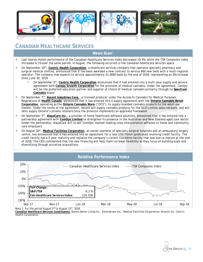

### **CANADIAN HEALTHCARE SERVICES**

#### **News Scan**<sup>1</sup>

- Last twelve-month performance of the Canadian Healthcare Services Index decreased 19.4%, while the TSX Composite Index increased 6.1% over the same period. In August, the following occurred in the Canadian healthcare services space:
- On September 10th, **Centric Health Corporation**, a healthcare services company that operates specialty pharmacy and surgical medical centres, announced that it has been awarded a new contract to service 900 new beds with a multi-regional operator. The company now expects to service approximately 31,0000 beds by the end of 2018, representing an 8% increase since June 30, 2018
	- On September 5th, **Centric Health Corporation** announced that it had entered into a multi-year supply and service agreement with **Canopy Growth Corporation** for the provision of medical cannabis. Under the agreement, Canopy will be the preferred education partner and supplier of choice of medical cannabis primarily through its **Spectrum Cannabis** brand
- On September 7th, **Ascent Industries Corp.**, a licensed producer under the Access to Cannabis for Medical Purposes Regulations of **Health Canada**, announced that it has entered into a supply agreement with the **Ontario Cannabis Retail Corporation**, operating as the **Ontario Cannabis Store** ("OCS"), to supply branded cannabis products to the adult-use market. Under the terms of the agreement, Ascent will supply cannabis products for the OCS's online sales network, and will later supply Ontario's private retailers once the province implements an approved framework
- On September 5th, **AlayaCare Inc.**, a provider of home healthcare software solutions, announced that it has entered into a partnership agreement with **ComOps Limited** to strengthen its presence in the Australian and New Zealand aged care sector. Under the partnership, AlayaCare will re-sell ComOps' market-leading rules interpretation software to home and community care employers
- On August 30th, **Medical Facilities Corporation**, an owner-operator of specialty surgical hospitals and an ambulatory surgery centre, has announced that it has entered into an agreement for a new US\$150mm syndicated revolving credit facility. The credit facility has a 5-year maturity and replaces the company's current C\$100mm facility that was due to mature at the end of 2018. The CEO commented that the new financing will help them increase flexibility as they focus on building scale and diversifying through accretive acquisitions



*Note 1: For the period August 2nd to August 15th, 2018*

*Canadian Healthcare Services Constituents: Sienna Senior Living Inc., Extendicare Inc., Medical Facilities Corporation, Akumin Inc, Centric Health Corporation*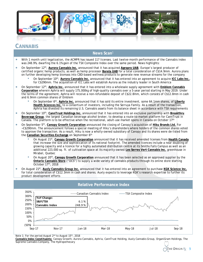

### **CANNABIS**

### **News Scan**<sup>1</sup>

- With 1 month until legalization, the ACMPR has issued 117 licenses. Last twelve-month performance of the Cannabis index was 248.9%, dwarfing the 6.1% gain of the TSX Composite Index over the same period. News highlights:
- On September 12th, **Aurora Cannabis Inc.** announced that it has acquired **Agropro UAB**, Europe's largest producer of certified organic hemp products, as well as hemp processor **Borela UAB** for a total consideration of C\$14.9mm. Aurora plans on further developing hemp biomass into CBD-based wellness products to generate new revenue streams for the company
	- On September 10th, **Aurora Cannabis Inc.** announced that it has entered into an agreement to acquire **ICC Labs Inc.**, for C\$290mm. The acquisition of ICC Labs will establish Aurora as the industry leader in South America
- On September 12th, **Aphria Inc.** announced that it has entered into a wholesale supply agreement with **Emblem Cannabis Corporation** wherein Aphria will supply 175,000kg of high-quality cannabis over a 5-year period starting in May 2019. Under the terms of the agreement, Aphria will receive a non-refundable deposit of C\$22.8mm, which consists of C\$12.8mm in cash and 6.9mm common shares of Emblem
	- On September 6th, **Aphria Inc.** announced that it has sold its entire investment, some 64.1mm shares, of **Liberty Health Sciences Inc.** to a consortium of investors, including the Serruya Family. As a result of the transaction, Aphria has divested its remaining U.S. Cannabis assets from its balance sheet in accordance with TSX requirements
- On September 10th, **CannTrust Holdings Inc.** announced that it has entered into an exclusive partnership with **Breakthru Beverage Group**, the largest Canadian beverage alcohol broker, to develop a route-to-market platform for CannTrust in Canada. The platform is to be effective when the recreational, adult-use market opens in Canada on October 17th
- On September 5th, **Canopy Growth Corporation** announced the closing of Canopy's acquisition of **Hiku Brands Ltd.** For ~C\$290mm. The announcement follows a special meeting of Hiku's shareholders where holders of the common shares voted to approve the transaction. As a result, Hiku is now a wholly-owned subsidiary of Canopy and its shares were de-listed from the **Canadian Securities Exchange** on September 6th
	- On August 21st, **Canopy Growth Corporation** announced that it has received amended licenses from **Health Canada** that increase the size and sophistication of its national footprint. The amended licences include a near doubling of growing capacity and a licence for a highly automated distribution centre at its Smiths Falls Campus as well as an additional 223,000 sq. ft. of cultivation space at its majority-owned **Les Serres Vert Cannabis Inc.** greenhouse in Mirabel, Quebec
	- On August 20th, **Canopy Growth Corporation** announced that it has been selected as an approved supplier by the **Ontario Cannabis Store** ("OCS") to supply a wide variety of cannabis products through its online store starting October 17th, 2018
- On August 21st, **Auxly Cannabis Group Inc.** announced that it has entered into an agreement to purchase **KGK Science Inc.** for total consideration of C\$12.3mm in cash and shares. Auxly expects to leverage KGK's research expertise to further its product development efforts



#### **Relative Performance Index**

*Note 1: For the period August 2nd to August 15th, 2018*

*Cannabis Index Constituents: Canopy Growth, Aurora Cannabis, Aphria, CannTrust Holding, Auxly Cannabis Group, OrganiGram Holdings, The Supreme Cannabis Company, The Hydropothecary*